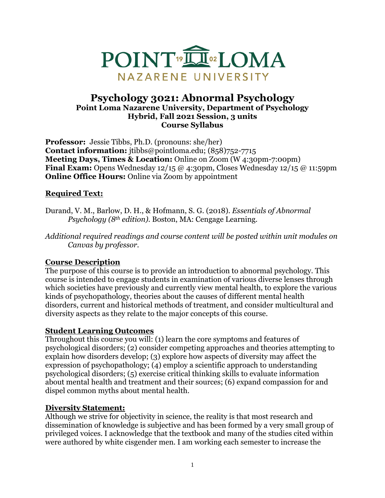

### **Psychology 3021: Abnormal Psychology Point Loma Nazarene University, Department of Psychology Hybrid, Fall 2021 Session, 3 units Course Syllabus**

**Professor:** Jessie Tibbs, Ph.D. (pronouns: she/her) **Contact information:** jtibbs@pointloma.edu; (858)752-7715 **Meeting Days, Times & Location:** Online on Zoom (W 4:30pm-7:00pm) **Final Exam:** Opens Wednesday 12/15 @ 4:30pm, Closes Wednesday 12/15 @ 11:59pm **Online Office Hours:** Online via Zoom by appointment

# **Required Text:**

- Durand, V. M., Barlow, D. H., & Hofmann, S. G. (2018). *Essentials of Abnormal Psychology (8th edition).* Boston, MA: Cengage Learning.
- *Additional required readings and course content will be posted within unit modules on Canvas by professor.*

#### **Course Description**

The purpose of this course is to provide an introduction to abnormal psychology. This course is intended to engage students in examination of various diverse lenses through which societies have previously and currently view mental health, to explore the various kinds of psychopathology, theories about the causes of different mental health disorders, current and historical methods of treatment, and consider multicultural and diversity aspects as they relate to the major concepts of this course.

#### **Student Learning Outcomes**

Throughout this course you will: (1) learn the core symptoms and features of psychological disorders; (2) consider competing approaches and theories attempting to explain how disorders develop; (3) explore how aspects of diversity may affect the expression of psychopathology; (4) employ a scientific approach to understanding psychological disorders; (5) exercise critical thinking skills to evaluate information about mental health and treatment and their sources; (6) expand compassion for and dispel common myths about mental health.

#### **Diversity Statement:**

Although we strive for objectivity in science, the reality is that most research and dissemination of knowledge is subjective and has been formed by a very small group of privileged voices. I acknowledge that the textbook and many of the studies cited within were authored by white cisgender men. I am working each semester to increase the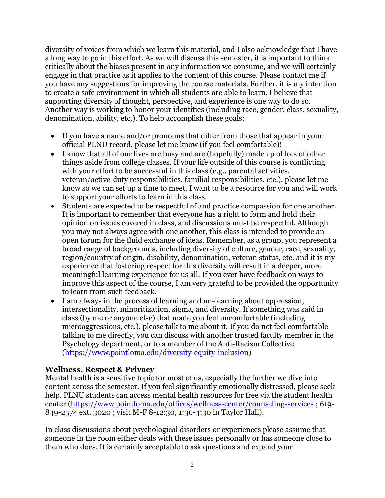diversity of voices from which we learn this material, and I also acknowledge that I have a long way to go in this effort. As we will discuss this semester, it is important to think critically about the biases present in any information we consume, and we will certainly engage in that practice as it applies to the content of this course. Please contact me if you have any suggestions for improving the course materials. Further, it is my intention to create a safe environment in which all students are able to learn. I believe that supporting diversity of thought, perspective, and experience is one way to do so. Another way is working to honor your identities (including race, gender, class, sexuality, denomination, ability, etc.). To help accomplish these goals:

- If you have a name and/or pronouns that differ from those that appear in your official PLNU record, please let me know (if you feel comfortable)!
- I know that all of our lives are busy and are (hopefully) made up of lots of other things aside from college classes. If your life outside of this course is conflicting with your effort to be successful in this class (e.g., parental activities, veteran/active-duty responsibilities, familial responsibilities, etc.), please let me know so we can set up a time to meet. I want to be a resource for you and will work to support your efforts to learn in this class.
- Students are expected to be respectful of and practice compassion for one another. It is important to remember that everyone has a right to form and hold their opinion on issues covered in class, and discussions must be respectful. Although you may not always agree with one another, this class is intended to provide an open forum for the fluid exchange of ideas. Remember, as a group, you represent a broad range of backgrounds, including diversity of culture, gender, race, sexuality, region/country of origin, disability, denomination, veteran status, etc. and it is my experience that fostering respect for this diversity will result in a deeper, more meaningful learning experience for us all. If you ever have feedback on ways to improve this aspect of the course, I am very grateful to be provided the opportunity to learn from such feedback.
- I am always in the process of learning and un-learning about oppression, intersectionality, minoritization, sigma, and diversity. If something was said in class (by me or anyone else) that made you feel uncomfortable (including microaggressions, etc.), please talk to me about it. If you do not feel comfortable talking to me directly, you can discuss with another trusted faculty member in the Psychology department, or to a member of the Anti-Racism Collective [\(https://www.pointloma.edu/diversity-equity-inclusion\)](https://www.pointloma.edu/diversity-equity-inclusion)

# **Wellness, Respect & Privacy**

Mental health is a sensitive topic for most of us, especially the further we dive into content across the semester. If you feel significantly emotionally distressed, please seek help. PLNU students can access mental health resources for free via the student health center [\(https://www.pointloma.edu/offices/wellness-center/counseling-services](https://www.pointloma.edu/offices/wellness-center/counseling-services) ; 619- 849-2574 ext. 3020 ; visit M-F 8-12:30, 1:30-4:30 in Taylor Hall).

In class discussions about psychological disorders or experiences please assume that someone in the room either deals with these issues personally or has someone close to them who does. It is certainly acceptable to ask questions and expand your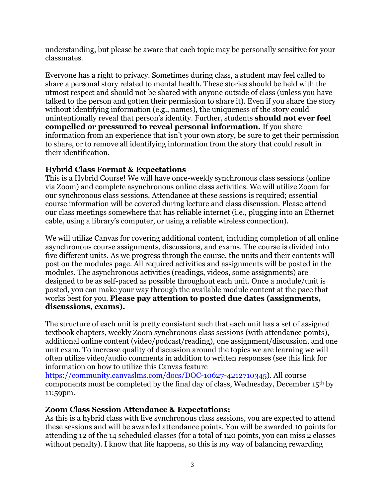understanding, but please be aware that each topic may be personally sensitive for your classmates.

Everyone has a right to privacy. Sometimes during class, a student may feel called to share a personal story related to mental health. These stories should be held with the utmost respect and should not be shared with anyone outside of class (unless you have talked to the person and gotten their permission to share it). Even if you share the story without identifying information (e.g., names), the uniqueness of the story could unintentionally reveal that person's identity. Further, students **should not ever feel compelled or pressured to reveal personal information.** If you share information from an experience that isn't your own story, be sure to get their permission to share, or to remove all identifying information from the story that could result in their identification.

# **Hybrid Class Format & Expectations**

This is a Hybrid Course! We will have once-weekly synchronous class sessions (online via Zoom) and complete asynchronous online class activities. We will utilize Zoom for our synchronous class sessions. Attendance at these sessions is required; essential course information will be covered during lecture and class discussion. Please attend our class meetings somewhere that has reliable internet (i.e., plugging into an Ethernet cable, using a library's computer, or using a reliable wireless connection).

We will utilize Canvas for covering additional content, including completion of all online asynchronous course assignments, discussions, and exams. The course is divided into five different units. As we progress through the course, the units and their contents will post on the modules page. All required activities and assignments will be posted in the modules. The asynchronous activities (readings, videos, some assignments) are designed to be as self-paced as possible throughout each unit. Once a module/unit is posted, you can make your way through the available module content at the pace that works best for you. **Please pay attention to posted due dates (assignments, discussions, exams).**

The structure of each unit is pretty consistent such that each unit has a set of assigned textbook chapters, weekly Zoom synchronous class sessions (with attendance points), additional online content (video/podcast/reading), one assignment/discussion, and one unit exam. To increase quality of discussion around the topics we are learning we will often utilize video/audio comments in addition to written responses (see this link for information on how to utilize this Canvas feature

[https://community.canvaslms.com/docs/DOC-10627-4212710345\)](https://community.canvaslms.com/docs/DOC-10627-4212710345). All course components must be completed by the final day of class, Wednesday, December 15th by 11:59pm.

# **Zoom Class Session Attendance & Expectations:**

As this is a hybrid class with live synchronous class sessions, you are expected to attend these sessions and will be awarded attendance points. You will be awarded 10 points for attending 12 of the 14 scheduled classes (for a total of 120 points, you can miss 2 classes without penalty). I know that life happens, so this is my way of balancing rewarding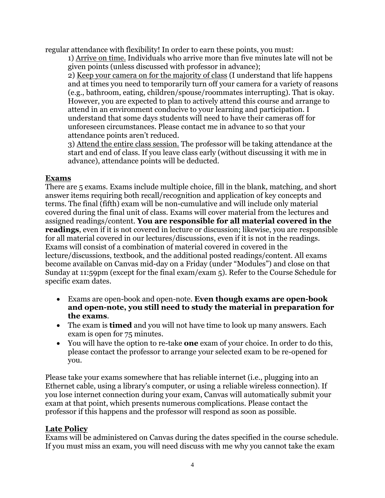regular attendance with flexibility! In order to earn these points, you must:

1) Arrive on time. Individuals who arrive more than five minutes late will not be given points (unless discussed with professor in advance);

2) Keep your camera on for the majority of class (I understand that life happens and at times you need to temporarily turn off your camera for a variety of reasons (e.g., bathroom, eating, children/spouse/roommates interrupting). That is okay. However, you are expected to plan to actively attend this course and arrange to attend in an environment conducive to your learning and participation. I understand that some days students will need to have their cameras off for unforeseen circumstances. Please contact me in advance to so that your attendance points aren't reduced.

3) Attend the entire class session. The professor will be taking attendance at the start and end of class. If you leave class early (without discussing it with me in advance), attendance points will be deducted.

# **Exams**

There are 5 exams. Exams include multiple choice, fill in the blank, matching, and short answer items requiring both recall/recognition and application of key concepts and terms. The final (fifth) exam will be non-cumulative and will include only material covered during the final unit of class. Exams will cover material from the lectures and assigned readings/content. **You are responsible for all material covered in the readings**, even if it is not covered in lecture or discussion; likewise, you are responsible for all material covered in our lectures/discussions, even if it is not in the readings. Exams will consist of a combination of material covered in covered in the lecture/discussions, textbook, and the additional posted readings/content. All exams become available on Canvas mid-day on a Friday (under "Modules") and close on that Sunday at 11:59pm (except for the final exam/exam 5). Refer to the Course Schedule for specific exam dates.

- Exams are open-book and open-note. **Even though exams are open-book and open-note, you still need to study the material in preparation for the exams**.
- The exam is **timed** and you will not have time to look up many answers. Each exam is open for 75 minutes.
- You will have the option to re-take **one** exam of your choice. In order to do this, please contact the professor to arrange your selected exam to be re-opened for you.

Please take your exams somewhere that has reliable internet (i.e., plugging into an Ethernet cable, using a library's computer, or using a reliable wireless connection). If you lose internet connection during your exam, Canvas will automatically submit your exam at that point, which presents numerous complications. Please contact the professor if this happens and the professor will respond as soon as possible.

# **Late Policy**

Exams will be administered on Canvas during the dates specified in the course schedule. If you must miss an exam, you will need discuss with me why you cannot take the exam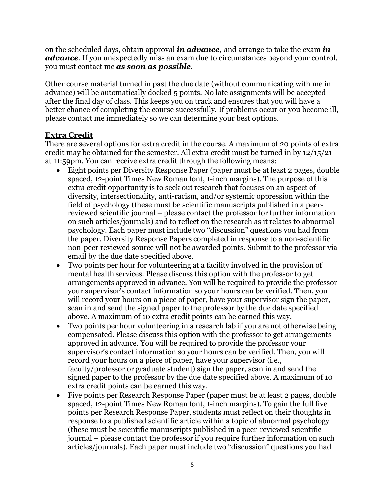on the scheduled days, obtain approval *in advance,* and arrange to take the exam *in advance*. If you unexpectedly miss an exam due to circumstances beyond your control, you must contact me *as soon as possible*.

Other course material turned in past the due date (without communicating with me in advance) will be automatically docked 5 points. No late assignments will be accepted after the final day of class. This keeps you on track and ensures that you will have a better chance of completing the course successfully. If problems occur or you become ill, please contact me immediately so we can determine your best options.

# **Extra Credit**

There are several options for extra credit in the course. A maximum of 20 points of extra credit may be obtained for the semester. All extra credit must be turned in by 12/15/21 at 11:59pm. You can receive extra credit through the following means:

- Eight points per Diversity Response Paper (paper must be at least 2 pages, double spaced, 12-point Times New Roman font, 1-inch margins). The purpose of this extra credit opportunity is to seek out research that focuses on an aspect of diversity, intersectionality, anti-racism, and/or systemic oppression within the field of psychology (these must be scientific manuscripts published in a peerreviewed scientific journal – please contact the professor for further information on such articles/journals) and to reflect on the research as it relates to abnormal psychology. Each paper must include two "discussion" questions you had from the paper. Diversity Response Papers completed in response to a non-scientific non-peer reviewed source will not be awarded points. Submit to the professor via email by the due date specified above.
- Two points per hour for volunteering at a facility involved in the provision of mental health services. Please discuss this option with the professor to get arrangements approved in advance. You will be required to provide the professor your supervisor's contact information so your hours can be verified. Then, you will record your hours on a piece of paper, have your supervisor sign the paper, scan in and send the signed paper to the professor by the due date specified above. A maximum of 10 extra credit points can be earned this way.
- Two points per hour volunteering in a research lab if you are not otherwise being compensated. Please discuss this option with the professor to get arrangements approved in advance. You will be required to provide the professor your supervisor's contact information so your hours can be verified. Then, you will record your hours on a piece of paper, have your supervisor (i.e., faculty/professor or graduate student) sign the paper, scan in and send the signed paper to the professor by the due date specified above. A maximum of 10 extra credit points can be earned this way.
- Five points per Research Response Paper (paper must be at least 2 pages, double spaced, 12-point Times New Roman font, 1-inch margins). To gain the full five points per Research Response Paper, students must reflect on their thoughts in response to a published scientific article within a topic of abnormal psychology (these must be scientific manuscripts published in a peer-reviewed scientific journal – please contact the professor if you require further information on such articles/journals). Each paper must include two "discussion" questions you had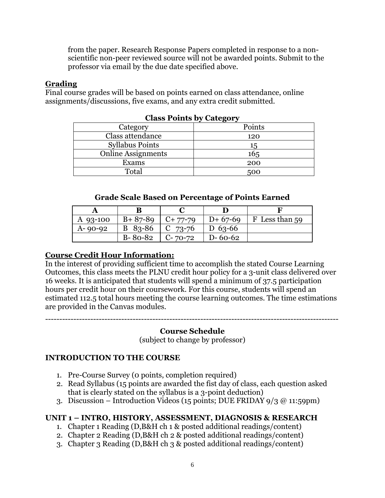from the paper. Research Response Papers completed in response to a nonscientific non-peer reviewed source will not be awarded points. Submit to the professor via email by the due date specified above.

### **Grading**

Final course grades will be based on points earned on class attendance, online assignments/discussions, five exams, and any extra credit submitted.

| $\sum_{i=1}^{n}$          |        |  |  |
|---------------------------|--------|--|--|
| Category                  | Points |  |  |
| Class attendance          | 120    |  |  |
| <b>Syllabus Points</b>    | 15     |  |  |
| <b>Online Assignments</b> | 165    |  |  |
| Exams                     | 200    |  |  |
| Total                     | 500    |  |  |

#### **Class Points by Category**

#### **Grade Scale Based on Percentage of Points Earned**

| A $93-100$    | $B + 87 - 89$ | $C+77-79$ | $D+67-69$     | F Less than 59 |
|---------------|---------------|-----------|---------------|----------------|
| $A - 90 - 92$ | $B$ 83-86     | $C$ 73-76 | $D_{63-66}$   |                |
|               | $B - 80 - 82$ | $C-70-72$ | $D - 60 - 62$ |                |

# **Course Credit Hour Information:**

In the interest of providing sufficient time to accomplish the stated Course Learning Outcomes, this class meets the PLNU credit hour policy for a 3-unit class delivered over 16 weeks. It is anticipated that students will spend a minimum of 37.5 participation hours per credit hour on their coursework. For this course, students will spend an estimated 112.5 total hours meeting the course learning outcomes. The time estimations are provided in the Canvas modules.

# -------------------------------------------------------------------------------------------------------- **Course Schedule**

(subject to change by professor)

# **INTRODUCTION TO THE COURSE**

- 1. Pre-Course Survey (0 points, completion required)
- 2. Read Syllabus (15 points are awarded the fist day of class, each question asked that is clearly stated on the syllabus is a 3-point deduction)
- 3. Discussion Introduction Videos (15 points; DUE FRIDAY  $9/3$  @ 11:59pm)

# **UNIT 1 – INTRO, HISTORY, ASSESSMENT, DIAGNOSIS & RESEARCH**

- 1. Chapter 1 Reading (D,B&H ch 1 & posted additional readings/content)
- 2. Chapter 2 Reading (D,B&H ch 2 & posted additional readings/content)
- 3. Chapter 3 Reading (D,B&H ch 3 & posted additional readings/content)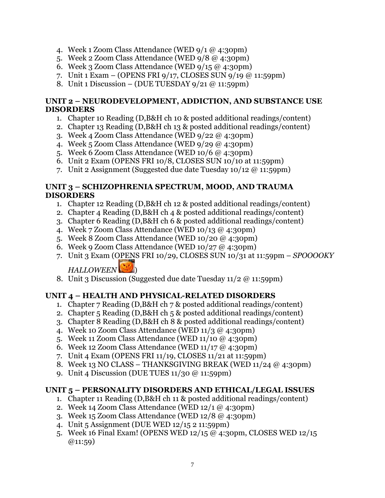- 4. Week 1 Zoom Class Attendance (WED 9/1 @ 4:30pm)
- 5. Week 2 Zoom Class Attendance (WED 9/8 @ 4:30pm)
- 6. Week 3 Zoom Class Attendance (WED  $9/15 \omega$  4:30pm)
- 7. Unit 1 Exam (OPENS FRI 9/17, CLOSES SUN 9/19 @ 11:59pm)
- 8. Unit 1 Discussion (DUE TUESDAY  $9/21$  @ 11:59pm)

#### **UNIT 2 – NEURODEVELOPMENT, ADDICTION, AND SUBSTANCE USE DISORDERS**

- 1. Chapter 10 Reading (D,B&H ch 10 & posted additional readings/content)
- 2. Chapter 13 Reading (D,B&H ch 13 & posted additional readings/content)
- 3. Week 4 Zoom Class Attendance (WED 9/22 @ 4:30pm)
- 4. Week 5 Zoom Class Attendance (WED 9/29 @ 4:30pm)
- 5. Week 6 Zoom Class Attendance (WED 10/6 @ 4:30pm)
- 6. Unit 2 Exam (OPENS FRI 10/8, CLOSES SUN 10/10 at 11:59pm)
- 7. Unit 2 Assignment (Suggested due date Tuesday 10/12 @ 11:59pm)

#### **UNIT 3 – SCHIZOPHRENIA SPECTRUM, MOOD, AND TRAUMA DISORDERS**

- 1. Chapter 12 Reading (D,B&H ch 12 & posted additional readings/content)
- 2. Chapter 4 Reading (D,B&H ch 4 & posted additional readings/content)
- 3. Chapter 6 Reading (D,B&H ch 6 & posted additional readings/content)
- 4. Week 7 Zoom Class Attendance (WED 10/13 @ 4:30pm)
- 5. Week 8 Zoom Class Attendance (WED 10/20 @ 4:30pm)
- 6. Week 9 Zoom Class Attendance (WED  $10/27$  @ 4:30pm)
- 7. Unit 3 Exam (OPENS FRI 10/29, CLOSES SUN 10/31 at 11:59pm *SPOOOOKY*

# *HALLOWEEN* )

8. Unit 3 Discussion (Suggested due date Tuesday 11/2 @ 11:59pm)

# **UNIT 4 – HEALTH AND PHYSICAL-RELATED DISORDERS**

- 1. Chapter 7 Reading (D,B&H ch 7 & posted additional readings/content)
- 2. Chapter 5 Reading (D,B&H ch 5 & posted additional readings/content)
- 3. Chapter 8 Reading (D,B&H ch 8 & posted additional readings/content)
- 4. Week 10 Zoom Class Attendance (WED 11/3 @ 4:30pm)
- 5. Week 11 Zoom Class Attendance (WED 11/10 @ 4:30pm)
- 6. Week 12 Zoom Class Attendance (WED 11/17 @ 4:30pm)
- 7. Unit 4 Exam (OPENS FRI 11/19, CLOSES 11/21 at 11:59pm)
- 8. Week 13 NO CLASS THANKSGIVING BREAK (WED  $11/24 \omega$  4:30pm)
- 9. Unit 4 Discussion (DUE TUES 11/30 @ 11:59pm)

# **UNIT 5 – PERSONALITY DISORDERS AND ETHICAL/LEGAL ISSUES**

- 1. Chapter 11 Reading (D,B&H ch 11 & posted additional readings/content)
- 2. Week 14 Zoom Class Attendance (WED  $12/1$  @ 4:30pm)
- 3. Week 15 Zoom Class Attendance (WED 12/8 @ 4:30pm)
- 4. Unit 5 Assignment (DUE WED 12/15 2 11:59pm)
- 5. Week 16 Final Exam! (OPENS WED 12/15 @ 4:30pm, CLOSES WED 12/15  $@11:59)$